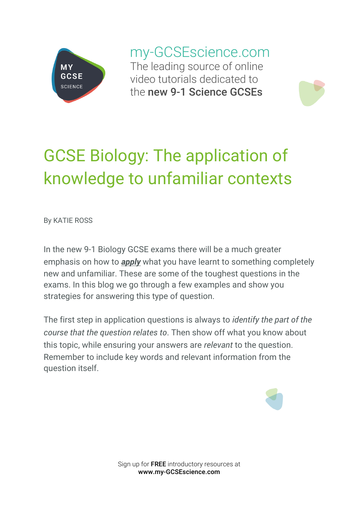

my-GCSEscience.com The leading source of online video tutorials dedicated to the new 9-1 Science GCSEs

# GCSE Biology: The application of knowledge to unfamiliar contexts

By KATIE ROSS

In the new 9-1 Biology GCSE exams there will be a much greater emphasis on how to *apply* what you have learnt to something completely new and unfamiliar. These are some of the toughest questions in the exams. In this blog we go through a few examples and show you strategies for answering this type of question.

The first step in application questions is always to *identify the part of the course that the question relates to*. Then show off what you know about this topic, while ensuring your answers are *relevant* to the question. Remember to include key words and relevant information from the question itself.



Sign up for **FREE** introductory resources at www.my-GCSEscience.com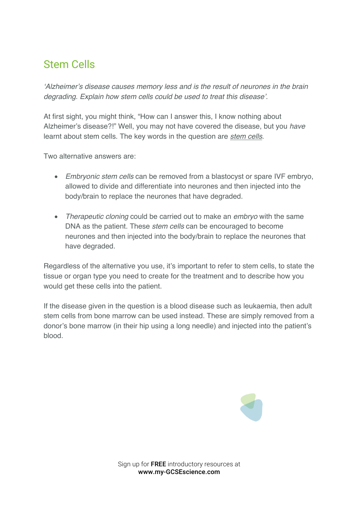#### Stem Cells

*'Alzheimer's disease causes memory less and is the result of neurones in the brain degrading. Explain how stem cells could be used to treat this disease'.*

At first sight, you might think, "How can I answer this, I know nothing about Alzheimer's disease?!" Well, you may not have covered the disease, but you *have* learnt about stem cells. The key words in the question are *stem cells*.

Two alternative answers are:

- *Embryonic stem cells* can be removed from a blastocyst or spare IVF embryo, allowed to divide and differentiate into neurones and then injected into the body/brain to replace the neurones that have degraded.
- *Therapeutic cloning* could be carried out to make an *embryo* with the same DNA as the patient. These *stem cells* can be encouraged to become neurones and then injected into the body/brain to replace the neurones that have degraded.

Regardless of the alternative you use, it's important to refer to stem cells, to state the tissue or organ type you need to create for the treatment and to describe how you would get these cells into the patient.

If the disease given in the question is a blood disease such as leukaemia, then adult stem cells from bone marrow can be used instead. These are simply removed from a donor's bone marrow (in their hip using a long needle) and injected into the patient's blood.



Sign up for **FREE** introductory resources at www.my-GCSEscience.com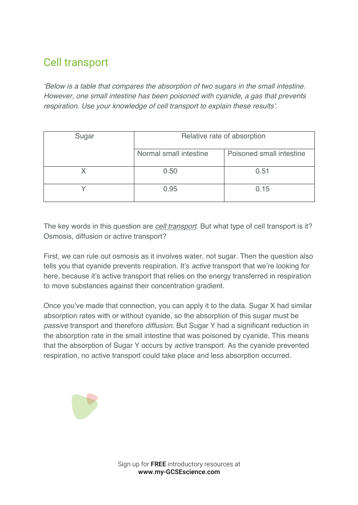## Cell transport

*'Below is a table that compares the absorption of two sugars in the small intestine. However, one small intestine has been poisoned with cyanide, a gas that prevents respiration. Use your knowledge of cell transport to explain these results'.*

| Sugar | Relative rate of absorption |                          |
|-------|-----------------------------|--------------------------|
|       | Normal small intestine      | Poisoned small intestine |
|       | 0.50                        | 0.51                     |
|       | 0.95                        | 0.15                     |

The key words in this question are *cell transport*. But what type of cell transport is it? Osmosis, diffusion or active transport?

First, we can rule out osmosis as it involves water, not sugar. Then the question also tells you that cyanide prevents respiration. It's *active* transport that we're looking for here, because it's active transport that relies on the energy transferred in respiration to move substances against their concentration gradient.

Once you've made that connection, you can apply it to the data. Sugar X had similar absorption rates with or without cyanide, so the absorption of this sugar must be *passive* transport and therefore *diffusion*. But Sugar Y had a significant reduction in the absorption rate in the small intestine that was poisoned by cyanide. This means that the absorption of Sugar Y occurs by *active* transport. As the cyanide prevented respiration, no active transport could take place and less absorption occurred.



Sign up for **FREE** introductory resources at www.my-GCSEscience.com